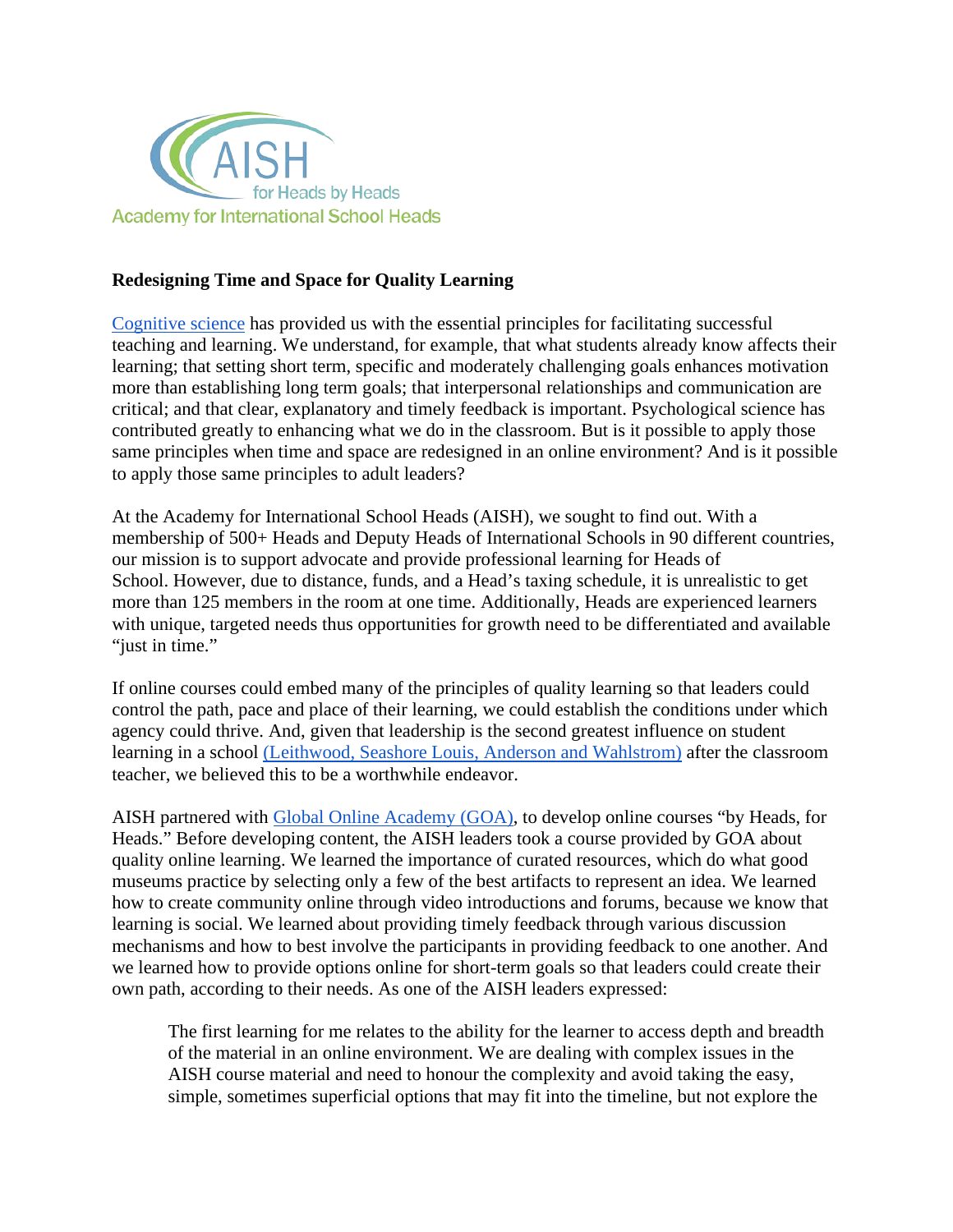

## **Redesigning Time and Space for Quality Learning**

[Cognitive science](https://www.apa.org/ed/schools/teaching-learning/top-twenty-principles.pdf) has provided us with the essential principles for facilitating successful teaching and learning. We understand, for example, that what students already know affects their learning; that setting short term, specific and moderately challenging goals enhances motivation more than establishing long term goals; that interpersonal relationships and communication are critical; and that clear, explanatory and timely feedback is important. Psychological science has contributed greatly to enhancing what we do in the classroom. But is it possible to apply those same principles when time and space are redesigned in an online environment? And is it possible to apply those same principles to adult leaders?

At the Academy for International School Heads (AISH), we sought to find out. With a membership of 500+ Heads and Deputy Heads of International Schools in 90 different countries, our mission is to support advocate and provide professional learning for Heads of School. However, due to distance, funds, and a Head's taxing schedule, it is unrealistic to get more than 125 members in the room at one time. Additionally, Heads are experienced learners with unique, targeted needs thus opportunities for growth need to be differentiated and available "just in time."

If online courses could embed many of the principles of quality learning so that leaders could control the path, pace and place of their learning, we could establish the conditions under which agency could thrive. And, given that leadership is the second greatest influence on student learning in a school [\(Leithwood, Seashore Louis, Anderson and Wahlstrom\)](https://www.wallacefoundation.org/knowledge-center/pages/how-leadership-influences-student-learning.aspx) after the classroom teacher, we believed this to be a worthwhile endeavor.

AISH partnered with [Global Online Academy \(GOA\),](https://globalonlineacademy.org/) to develop online courses "by Heads, for Heads." Before developing content, the AISH leaders took a course provided by GOA about quality online learning. We learned the importance of curated resources, which do what good museums practice by selecting only a few of the best artifacts to represent an idea. We learned how to create community online through video introductions and forums, because we know that learning is social. We learned about providing timely feedback through various discussion mechanisms and how to best involve the participants in providing feedback to one another. And we learned how to provide options online for short-term goals so that leaders could create their own path, according to their needs. As one of the AISH leaders expressed:

The first learning for me relates to the ability for the learner to access depth and breadth of the material in an online environment. We are dealing with complex issues in the AISH course material and need to honour the complexity and avoid taking the easy, simple, sometimes superficial options that may fit into the timeline, but not explore the